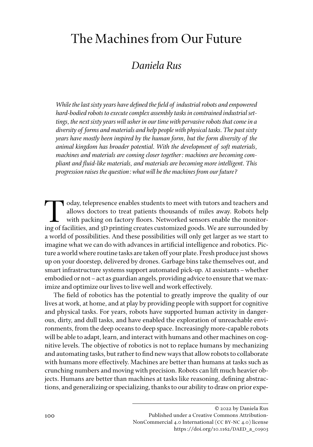# The Machines from Our Future

# *Daniela Rus*

*While the last sixty years have defined the field of industrial robots and empowered hard-bodied robots to execute complex assembly tasks in constrained industrial settings, the next sixty years will usher in our time with pervasive robots that come in a diversity of forms and materials and help people with physical tasks. The past sixty years have mostly been inspired by the human form, but the form diversity of the animal kingdom has broader potential. With the development of soft materials, machines and materials are coming closer together: machines are becoming compliant and fluid-like materials, and materials are becoming more intelligent. This progression raises the question: what will be the machines from our future?* 

Today, telepresence enables students to meet with tutors and teachers and<br>allows doctors to treat patients thousands of miles away. Robots help<br>with packing on factory floors. Networked sensors enable the monitor-<br>ing of f allows doctors to treat patients thousands of miles away. Robots help with packing on factory floors. Networked sensors enable the monitoring of facilities, and 3D printing creates customized goods. We are surrounded by a world of possibilities. And these possibilities will only get larger as we start to imagine what we can do with advances in artificial intelligence and robotics. Picture a world where routine tasks are taken off your plate. Fresh produce just shows up on your doorstep, delivered by drones. Garbage bins take themselves out, and smart infrastructure systems support automated pick-up. AI assistants–whether embodied or not–act as guardian angels, providing advice to ensure that we maximize and optimize our lives to live well and work effectively.

The field of robotics has the potential to greatly improve the quality of our lives at work, at home, and at play by providing people with support for cognitive and physical tasks. For years, robots have supported human activity in dangerous, dirty, and dull tasks, and have enabled the exploration of unreachable environments, from the deep oceans to deep space. Increasingly more-capable robots will be able to adapt, learn, and interact with humans and other machines on cognitive levels. The objective of robotics is not to replace humans by mechanizing and automating tasks, but rather to find new ways that allow robots to collaborate with humans more effectively. Machines are better than humans at tasks such as crunching numbers and moving with precision. Robots can lift much heavier objects. Humans are better than machines at tasks like reasoning, defining abstractions, and generalizing or specializing, thanks to our ability to draw on prior expe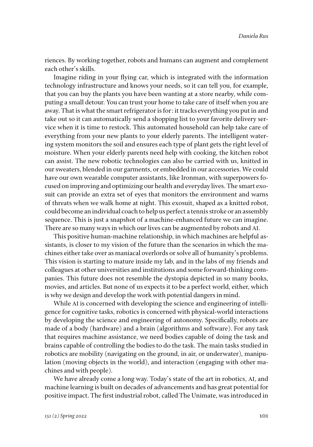riences. By working together, robots and humans can augment and complement each other's skills.

Imagine riding in your flying car, which is integrated with the information technology infrastructure and knows your needs, so it can tell you, for example, that you can buy the plants you have been wanting at a store nearby, while computing a small detour. You can trust your home to take care of itself when you are away. That is what the smart refrigerator is for: it tracks everything you put in and take out so it can automatically send a shopping list to your favorite delivery service when it is time to restock. This automated household can help take care of everything from your new plants to your elderly parents. The intelligent watering system monitors the soil and ensures each type of plant gets the right level of moisture. When your elderly parents need help with cooking, the kitchen robot can assist. The new robotic technologies can also be carried with us, knitted in our sweaters, blended in our garments, or embedded in our accessories. We could have our own wearable computer assistants, like Ironman, with superpowers focused on improving and optimizing our health and everyday lives. The smart exosuit can provide an extra set of eyes that monitors the environment and warns of threats when we walk home at night. This exosuit, shaped as a knitted robot, could become an individual coach to help us perfect a tennis stroke or an assembly sequence. This is just a snapshot of a machine-enhanced future we can imagine. There are so many ways in which our lives can be augmented by robots and AI.

This positive human-machine relationship, in which machines are helpful assistants, is closer to my vision of the future than the scenarios in which the machines either take over as maniacal overlords or solve all of humanity's problems. This vision is starting to mature inside my lab, and in the labs of my friends and colleagues at other universities and institutions and some forward-thinking companies. This future does not resemble the dystopia depicted in so many books, movies, and articles. But none of us expects it to be a perfect world, either, which is why we design and develop the work with potential dangers in mind.

While AI is concerned with developing the science and engineering of intelligence for cognitive tasks, robotics is concerned with physical-world interactions by developing the science and engineering of autonomy. Specifically, robots are made of a body (hardware) and a brain (algorithms and software). For any task that requires machine assistance, we need bodies capable of doing the task and brains capable of controlling the bodies to do the task. The main tasks studied in robotics are mobility (navigating on the ground, in air, or underwater), manipulation (moving objects in the world), and interaction (engaging with other machines and with people).

We have already come a long way. Today's state of the art in robotics, AI, and machine learning is built on decades of advancements and has great potential for positive impact. The first industrial robot, called The Unimate, was introduced in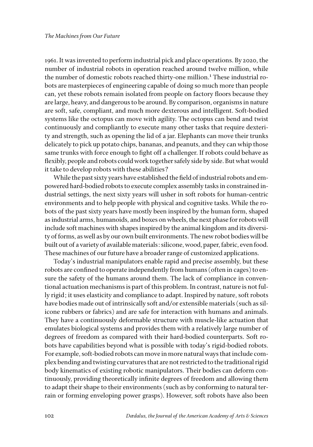1961. It was invented to perform industrial pick and place operations. By 2020, the number of industrial robots in operation reached around twelve million, while the number of domestic robots reached thirty-one million.<sup>1</sup> These industrial robots are masterpieces of engineering capable of doing so much more than people can, yet these robots remain isolated from people on factory floors because they are large, heavy, and dangerous to be around. By comparison, organisms in nature are soft, safe, compliant, and much more dexterous and intelligent. Soft-bodied systems like the octopus can move with agility. The octopus can bend and twist continuously and compliantly to execute many other tasks that require dexterity and strength, such as opening the lid of a jar. Elephants can move their trunks delicately to pick up potato chips, bananas, and peanuts, and they can whip those same trunks with force enough to fight off a challenger. If robots could behave as flexibly, people and robots could work together safely side by side. But what would it take to develop robots with these abilities?

While the past sixty years have established the field of industrial robots and empowered hard-bodied robots to execute complex assembly tasks in constrained industrial settings, the next sixty years will usher in soft robots for human-centric environments and to help people with physical and cognitive tasks. While the robots of the past sixty years have mostly been inspired by the human form, shaped as industrial arms, humanoids, and boxes on wheels, the next phase for robots will include soft machines with shapes inspired by the animal kingdom and its diversity of forms, as well as by our own built environments. The new robot bodies will be built out of a variety of available materials: silicone, wood, paper, fabric, even food. These machines of our future have a broader range of customized applications.

Today's industrial manipulators enable rapid and precise assembly, but these robots are confined to operate independently from humans (often in cages) to ensure the safety of the humans around them. The lack of compliance in conventional actuation mechanisms is part of this problem. In contrast, nature is not fully rigid; it uses elasticity and compliance to adapt. Inspired by nature, soft robots have bodies made out of intrinsically soft and/or extensible materials (such as silicone rubbers or fabrics) and are safe for interaction with humans and animals. They have a continuously deformable structure with muscle-like actuation that emulates biological systems and provides them with a relatively large number of degrees of freedom as compared with their hard-bodied counterparts. Soft robots have capabilities beyond what is possible with today's rigid-bodied robots. For example, soft-bodied robots can move in more natural ways that include complex bending and twisting curvatures that are not restricted to the traditional rigid body kinematics of existing robotic manipulators. Their bodies can deform continuously, providing theoretically infinite degrees of freedom and allowing them to adapt their shape to their environments (such as by conforming to natural terrain or forming enveloping power grasps). However, soft robots have also been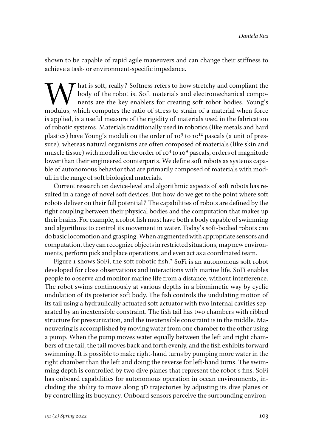shown to be capable of rapid agile maneuvers and can change their stiffness to achieve a task- or environment-specific impedance.

What is soft, really? Softness refers to how stretchy and compliant the body of the robot is. Soft materials and electromechanical components are the key enablers for creating soft robot bodies. Young's modulus which compu body of the robot is. Soft materials and electromechanical components are the key enablers for creating soft robot bodies. Young's modulus, which computes the ratio of stress to strain of a material when force is applied, is a useful measure of the rigidity of materials used in the fabrication of robotic systems. Materials traditionally used in robotics (like metals and hard plastics) have Young's moduli on the order of  $10^9$  to  $10^{12}$  pascals (a unit of pressure), whereas natural organisms are often composed of materials (like skin and muscle tissue) with moduli on the order of 104 to 109 pascals, orders of magnitude lower than their engineered counterparts. We define soft robots as systems capable of autonomous behavior that are primarily composed of materials with moduli in the range of soft biological materials.

Current research on device-level and algorithmic aspects of soft robots has resulted in a range of novel soft devices. But how do we get to the point where soft robots deliver on their full potential? The capabilities of robots are defined by the tight coupling between their physical bodies and the computation that makes up their brains. For example, a robot fish must have both a body capable of swimming and algorithms to control its movement in water. Today's soft-bodied robots can do basic locomotion and grasping. When augmented with appropriate sensors and computation, they can recognize objects in restricted situations, map new environments, perform pick and place operations, and even act as a coordinated team.

Figure 1 shows SoFi, the soft robotic fish.<sup>2</sup> SoFi is an autonomous soft robot developed for close observations and interactions with marine life. SoFi enables people to observe and monitor marine life from a distance, without interference. The robot swims continuously at various depths in a biomimetic way by cyclic undulation of its posterior soft body. The fish controls the undulating motion of its tail using a hydraulically actuated soft actuator with two internal cavities separated by an inextensible constraint. The fish tail has two chambers with ribbed structure for pressurization, and the inextensible constraint is in the middle. Maneuvering is accomplished by moving water from one chamber to the other using a pump. When the pump moves water equally between the left and right chambers of the tail, the tail moves back and forth evenly, and the fish exhibits forward swimming. It is possible to make right-hand turns by pumping more water in the right chamber than the left and doing the reverse for left-hand turns. The swimming depth is controlled by two dive planes that represent the robot's fins. SoFi has onboard capabilities for autonomous operation in ocean environments, including the ability to move along 3D trajectories by adjusting its dive planes or by controlling its buoyancy. Onboard sensors perceive the surrounding environ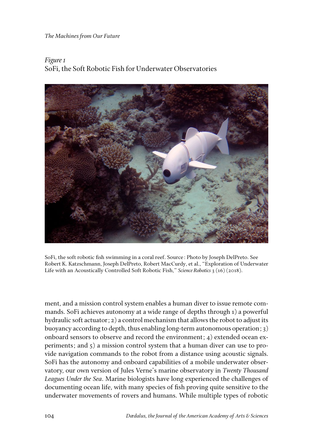*The Machines from Our Future*

## *Figure 1* SoFi, the Soft Robotic Fish for Underwater Observatories



SoFi, the soft robotic fish swimming in a coral reef. Source: Photo by Joseph DelPreto. See Robert K. Katzschmann, Joseph DelPreto, Robert MacCurdy, et al., "Exploration of Underwater Life with an Acoustically Controlled Soft Robotic Fish," *Science Robotics* 3 (16) (2018).

ment, and a mission control system enables a human diver to issue remote commands. SoFi achieves autonomy at a wide range of depths through 1) a powerful hydraulic soft actuator; 2) a control mechanism that allows the robot to adjust its buoyancy according to depth, thus enabling long-term autonomous operation; 3) onboard sensors to observe and record the environment; 4) extended ocean experiments; and 5) a mission control system that a human diver can use to provide navigation commands to the robot from a distance using acoustic signals. SoFi has the autonomy and onboard capabilities of a mobile underwater observatory, our own version of Jules Verne's marine observatory in *Twenty Thousand Leagues Under the Sea*. Marine biologists have long experienced the challenges of documenting ocean life, with many species of fish proving quite sensitive to the underwater movements of rovers and humans. While multiple types of robotic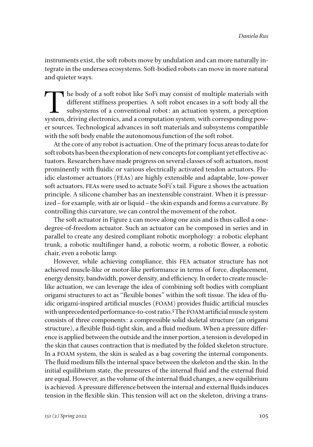instruments exist, the soft robots move by undulation and can more naturally integrate in the undersea ecosystems. Soft-bodied robots can move in more natural and quieter ways.

The body of a soft robot like SoFi may consist of multiple materials with<br>different stiffness properties. A soft robot encases in a soft body all the<br>subsystems of a conventional robot: an actuation system, a perception<br>sy different stiffness properties. A soft robot encases in a soft body all the subsystems of a conventional robot: an actuation system, a perception system, driving electronics, and a computation system, with corresponding power sources. Technological advances in soft materials and subsystems compatible with the soft body enable the autonomous function of the soft robot.

At the core of any robot is actuation. One of the primary focus areas to date for soft robots has been the exploration of new concepts for compliant yet effective actuators. Researchers have made progress on several classes of soft actuators, most prominently with fluidic or various electrically activated tendon actuators. Fluidic elastomer actuators (FEAs) are highly extensible and adaptable, low-power soft actuators. FEAs were used to actuate SoFi's tail. Figure 2 shows the actuation principle. A silicone chamber has an inextensible constraint. When it is pressurized–for example, with air or liquid–the skin expands and forms a curvature. By controlling this curvature, we can control the movement of the robot.

The soft actuator in Figure 2 can move along one axis and is thus called a onedegree-of-freedom actuator. Such an actuator can be composed in series and in parallel to create any desired compliant robotic morphology: a robotic elephant trunk, a robotic multifinger hand, a robotic worm, a robotic flower, a robotic chair, even a robotic lamp.

However, while achieving compliance, this FEA actuator structure has not achieved muscle-like or motor-like performance in terms of force, displacement, energy density, bandwidth, power density, and efficiency. In order to create musclelike actuation, we can leverage the idea of combining soft bodies with compliant origami structures to act as "flexible bones" within the soft tissue. The idea of fluidic origami-inspired artificial muscles (FOAM) provides fluidic artificial muscles with unprecedented performance-to-cost ratio.3 The FOAM artificial muscle system consists of three components: a compressible solid skeletal structure (an origami structure), a flexible fluid-tight skin, and a fluid medium. When a pressure difference is applied between the outside and the inner portion, a tension is developed in the skin that causes contraction that is mediated by the folded skeleton structure. In a FOAM system, the skin is sealed as a bag covering the internal components. The fluid medium fills the internal space between the skeleton and the skin. In the initial equilibrium state, the pressures of the internal fluid and the external fluid are equal. However, as the volume of the internal fluid changes, a new equilibrium is achieved. A pressure difference between the internal and external fluids induces tension in the flexible skin. This tension will act on the skeleton, driving a trans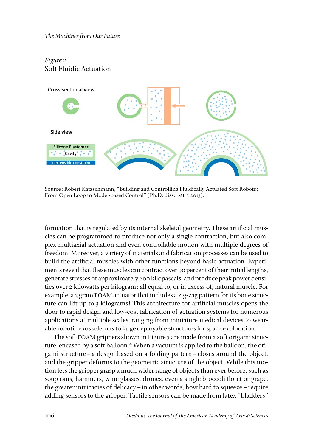*The Machines from Our Future*

### *Figure 2* Soft Fluidic Actuation



Source: Robert Katzschmann, "Building and Controlling Fluidically Actuated Soft Robots: From Open Loop to Model-based Control" (Ph.D. diss., MIT, 2013).

formation that is regulated by its internal skeletal geometry. These artificial muscles can be programmed to produce not only a single contraction, but also complex multiaxial actuation and even controllable motion with multiple degrees of freedom. Moreover, a variety of materials and fabrication processes can be used to build the artificial muscles with other functions beyond basic actuation. Experiments reveal that these muscles can contract over 90 percent of their initial lengths, generate stresses of approximately 600 kilopascals, and produce peak power densities over 2 kilowatts per kilogram: all equal to, or in excess of, natural muscle. For example, a 3 gram FOAM actuator that includes a zig-zag pattern for its bone structure can lift up to 3 kilograms! This architecture for artificial muscles opens the door to rapid design and low-cost fabrication of actuation systems for numerous applications at multiple scales, ranging from miniature medical devices to wearable robotic exoskeletons to large deployable structures for space exploration.

The soft FOAM grippers shown in Figure 3 are made from a soft origami structure, encased by a soft balloon.4 When a vacuum is applied to the balloon, the origami structure–a design based on a folding pattern–closes around the object, and the gripper deforms to the geometric structure of the object. While this motion lets the gripper grasp a much wider range of objects than ever before, such as soup cans, hammers, wine glasses, drones, even a single broccoli floret or grape, the greater intricacies of delicacy–in other words, how hard to squeeze–require adding sensors to the gripper. Tactile sensors can be made from latex "bladders"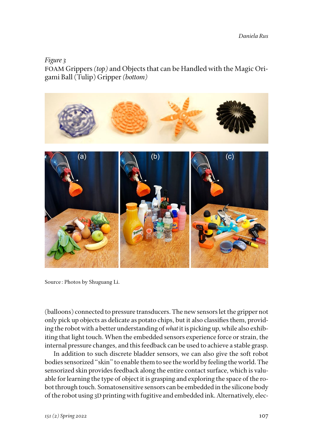*Daniela Rus*

*Figure 3* FOAM Grippers *(top)* and Objects that can be Handled with the Magic Origami Ball (Tulip) Gripper *(bottom)*



Source: Photos by Shuguang Li.

(balloons) connected to pressure transducers. The new sensors let the gripper not only pick up objects as delicate as potato chips, but it also classifies them, providing the robot with a better understanding of *what* it is picking up, while also exhibiting that light touch. When the embedded sensors experience force or strain, the internal pressure changes, and this feedback can be used to achieve a stable grasp.

In addition to such discrete bladder sensors, we can also give the soft robot bodies sensorized "skin" to enable them to see the world by feeling the world. The sensorized skin provides feedback along the entire contact surface, which is valuable for learning the type of object it is grasping and exploring the space of the robot through touch. Somatosensitive sensors can be embedded in the silicone body of the robot using 3D printing with fugitive and embedded ink. Alternatively, elec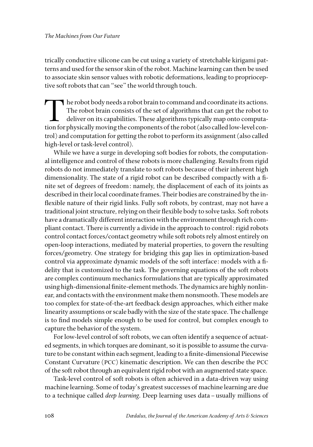trically conductive silicone can be cut using a variety of stretchable kirigami patterns and used for the sensor skin of the robot. Machine learning can then be used to associate skin sensor values with robotic deformations, leading to proprioceptive soft robots that can "see" the world through touch.

The robot body needs a robot brain to command and coordinate its actions. The robot brain consists of the set of algorithms that can get the robot to deliver on its capabilities. These algorithms typically map onto computation for physically moving the components of the robot (also called low-level control) and computation for getting the robot to perform its assignment (also called high-level or task-level control).

While we have a surge in developing soft bodies for robots, the computational intelligence and control of these robots is more challenging. Results from rigid robots do not immediately translate to soft robots because of their inherent high dimensionality. The state of a rigid robot can be described compactly with a finite set of degrees of freedom: namely, the displacement of each of its joints as described in their local coordinate frames. Their bodies are constrained by the inflexible nature of their rigid links. Fully soft robots, by contrast, may not have a traditional joint structure, relying on their flexible body to solve tasks. Soft robots have a dramatically different interaction with the environment through rich compliant contact. There is currently a divide in the approach to control: rigid robots control contact forces/contact geometry while soft robots rely almost entirely on open-loop interactions, mediated by material properties, to govern the resulting forces/geometry. One strategy for bridging this gap lies in optimization-based control via approximate dynamic models of the soft interface: models with a fidelity that is customized to the task. The governing equations of the soft robots are complex continuum mechanics formulations that are typically approximated using high-dimensional finite-element methods. The dynamics are highly nonlinear, and contacts with the environment make them nonsmooth. These models are too complex for state-of-the-art feedback design approaches, which either make linearity assumptions or scale badly with the size of the state space. The challenge is to find models simple enough to be used for control, but complex enough to capture the behavior of the system.

For low-level control of soft robots, we can often identify a sequence of actuated segments, in which torques are dominant, so it is possible to assume the curvature to be constant within each segment, leading to a finite-dimensional Piecewise Constant Curvature (PCC) kinematic description. We can then describe the PCC of the soft robot through an equivalent rigid robot with an augmented state space.

Task-level control of soft robots is often achieved in a data-driven way using machine learning. Some of today's greatest successes of machine learning are due to a technique called *deep learning*. Deep learning uses data–usually millions of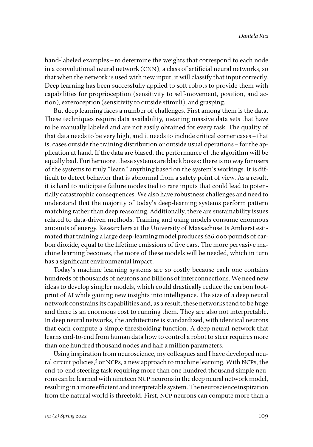hand-labeled examples – to determine the weights that correspond to each node in a convolutional neural network (CNN), a class of artificial neural networks, so that when the network is used with new input, it will classify that input correctly. Deep learning has been successfully applied to soft robots to provide them with capabilities for proprioception (sensitivity to self-movement, position, and action), exteroception (sensitivity to outside stimuli), and grasping.

But deep learning faces a number of challenges. First among them is the data. These techniques require data availability, meaning massive data sets that have to be manually labeled and are not easily obtained for every task. The quality of that data needs to be very high, and it needs to include critical corner cases–that is, cases outside the training distribution or outside usual operations–for the application at hand. If the data are biased, the performance of the algorithm will be equally bad. Furthermore, these systems are black boxes: there is no way for users of the systems to truly "learn" anything based on the system's workings. It is difficult to detect behavior that is abnormal from a safety point of view. As a result, it is hard to anticipate failure modes tied to rare inputs that could lead to potentially catastrophic consequences. We also have robustness challenges and need to understand that the majority of today's deep-learning systems perform pattern matching rather than deep reasoning. Additionally, there are sustainability issues related to data-driven methods. Training and using models consume enormous amounts of energy. Researchers at the University of Massachusetts Amherst estimated that training a large deep-learning model produces 626,000 pounds of carbon dioxide, equal to the lifetime emissions of five cars. The more pervasive machine learning becomes, the more of these models will be needed, which in turn has a significant environmental impact.

Today's machine learning systems are so costly because each one contains hundreds of thousands of neurons and billions of interconnections. We need new ideas to develop simpler models, which could drastically reduce the carbon footprint of AI while gaining new insights into intelligence. The size of a deep neural network constrains its capabilities and, as a result, these networks tend to be huge and there is an enormous cost to running them. They are also not interpretable. In deep neural networks, the architecture is standardized, with identical neurons that each compute a simple thresholding function. A deep neural network that learns end-to-end from human data how to control a robot to steer requires more than one hundred thousand nodes and half a million parameters.

Using inspiration from neuroscience, my colleagues and I have developed neural circuit policies,<sup>5</sup> or NCPs, a new approach to machine learning. With NCPs, the end-to-end steering task requiring more than one hundred thousand simple neurons can be learned with nineteen NCP neurons in the deep neural network model, resulting in a more efficient and interpretable system. The neuroscience inspiration from the natural world is threefold. First, NCP neurons can compute more than a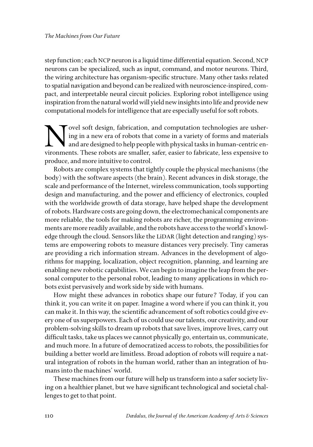step function; each NCP neuron is a liquid time differential equation. Second, NCP neurons can be specialized, such as input, command, and motor neurons. Third, the wiring architecture has organism-specific structure. Many other tasks related to spatial navigation and beyond can be realized with neuroscience-inspired, compact, and interpretable neural circuit policies. Exploring robot intelligence using inspiration from the natural world will yield new insights into life and provide new computational models for intelligence that are especially useful for soft robots.

ovel soft design, fabrication, and computation technologies are ushering in a new era of robots that come in a variety of forms and materials and are designed to help people with physical tasks in human-centric environments. These robots are smaller, safer, easier to fabricate, less expensive to produce, and more intuitive to control.

Robots are complex systems that tightly couple the physical mechanisms (the body) with the software aspects (the brain). Recent advances in disk storage, the scale and performance of the Internet, wireless communication, tools supporting design and manufacturing, and the power and efficiency of electronics, coupled with the worldwide growth of data storage, have helped shape the development of robots. Hardware costs are going down, the electromechanical components are more reliable, the tools for making robots are richer, the programming environments are more readily available, and the robots have access to the world's knowledge through the cloud. Sensors like the LiDAR (light detection and ranging) systems are empowering robots to measure distances very precisely. Tiny cameras are providing a rich information stream. Advances in the development of algorithms for mapping, localization, object recognition, planning, and learning are enabling new robotic capabilities. We can begin to imagine the leap from the personal computer to the personal robot, leading to many applications in which robots exist pervasively and work side by side with humans.

How might these advances in robotics shape our future? Today, if you can think it, you can write it on paper. Imagine a word where if you can think it, you can make it. In this way, the scientific advancement of soft robotics could give every one of us superpowers. Each of us could use our talents, our creativity, and our problem-solving skills to dream up robots that save lives, improve lives, carry out difficult tasks, take us places we cannot physically go, entertain us, communicate, and much more. In a future of democratized access to robots, the possibilities for building a better world are limitless. Broad adoption of robots will require a natural integration of robots in the human world, rather than an integration of humans into the machines' world.

These machines from our future will help us transform into a safer society living on a healthier planet, but we have significant technological and societal challenges to get to that point.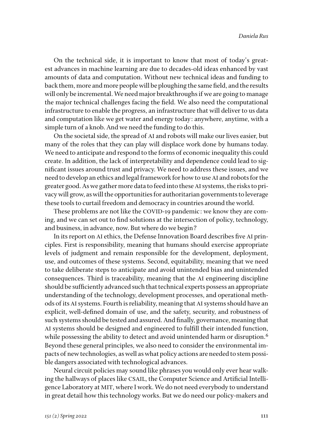On the technical side, it is important to know that most of today's greatest advances in machine learning are due to decades-old ideas enhanced by vast amounts of data and computation. Without new technical ideas and funding to back them, more and more people will be ploughing the same field, and the results will only be incremental. We need major breakthroughs if we are going to manage the major technical challenges facing the field. We also need the computational infrastructure to enable the progress, an infrastructure that will deliver to us data and computation like we get water and energy today: anywhere, anytime, with a simple turn of a knob. And we need the funding to do this.

On the societal side, the spread of AI and robots will make our lives easier, but many of the roles that they can play will displace work done by humans today. We need to anticipate and respond to the forms of economic inequality this could create. In addition, the lack of interpretability and dependence could lead to significant issues around trust and privacy. We need to address these issues, and we need to develop an ethics and legal framework for how to use AI and robots for the greater good. As we gather more data to feed into these AI systems, the risks to privacy will grow, as will the opportunities for authoritarian governments to leverage these tools to curtail freedom and democracy in countries around the world.

These problems are not like the COVID-19 pandemic: we know they are coming, and we can set out to find solutions at the intersection of policy, technology, and business, in advance, now. But where do we begin?

In its report on AI ethics, the Defense Innovation Board describes five AI principles. First is responsibility, meaning that humans should exercise appropriate levels of judgment and remain responsible for the development, deployment, use, and outcomes of these systems. Second, equitability, meaning that we need to take deliberate steps to anticipate and avoid unintended bias and unintended consequences. Third is traceability, meaning that the AI engineering discipline should be sufficiently advanced such that technical experts possess an appropriate understanding of the technology, development processes, and operational methods of its AI systems. Fourth is reliability, meaning that AI systems should have an explicit, well-defined domain of use, and the safety, security, and robustness of such systems should be tested and assured. And finally, governance, meaning that AI systems should be designed and engineered to fulfill their intended function, while possessing the ability to detect and avoid unintended harm or disruption.<sup>6</sup> Beyond these general principles, we also need to consider the environmental impacts of new technologies, as well as what policy actions are needed to stem possible dangers associated with technological advances.

Neural circuit policies may sound like phrases you would only ever hear walking the hallways of places like CSAIL, the Computer Science and Artificial Intelligence Laboratory at MIT, where I work. We do not need everybody to understand in great detail how this technology works. But we do need our policy-makers and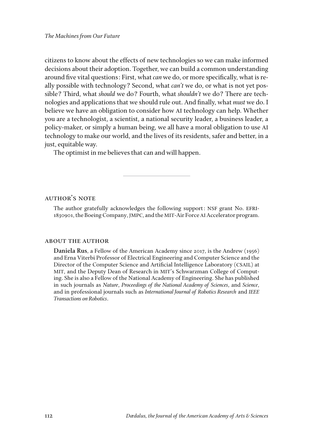citizens to know about the effects of new technologies so we can make informed decisions about their adoption. Together, we can build a common understanding around five vital questions: First, what *can* we do, or more specifically, what is really possible with technology? Second, what *can't* we do, or what is not yet possible? Third, what *should* we do? Fourth, what *shouldn't* we do? There are technologies and applications that we should rule out. And finally, what *must* we do. I believe we have an obligation to consider how AI technology can help. Whether you are a technologist, a scientist, a national security leader, a business leader, a policy-maker, or simply a human being, we all have a moral obligation to use AI technology to make our world, and the lives of its residents, safer and better, in a just, equitable way.

The optimist in me believes that can and will happen.

#### **AUTHOR'S NOTE**

The author gratefully acknowledges the following support: NSF grant No. EFRI-1830901, the Boeing Company, JMPC, and the MIT-Air Force AI Accelerator program.

#### about the author

**Daniela Rus**, a Fellow of the American Academy since 2017, is the Andrew (1956) and Erna Viterbi Professor of Electrical Engineering and Computer Science and the Director of the Computer Science and Artificial Intelligence Laboratory (CSAIL) at MIT, and the Deputy Dean of Research in MIT's Schwarzman College of Computing. She is also a Fellow of the National Academy of Engineering. She has published in such journals as *Nature*, *Proceedings of the National Academy of Sciences*, and *Science*, and in professional journals such as *International Journal of Robotics Research* and *IEEE Transactions on Robotics*.